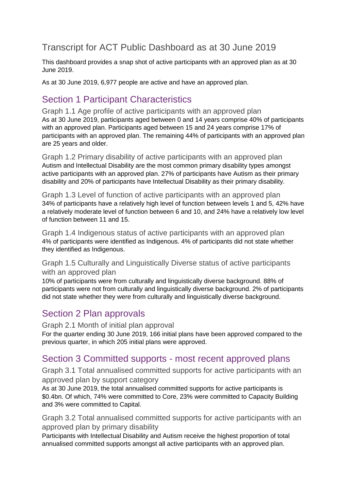# Transcript for ACT Public Dashboard as at 30 June 2019

This dashboard provides a snap shot of active participants with an approved plan as at 30 June 2019.

As at 30 June 2019, 6,977 people are active and have an approved plan.

# Section 1 Participant Characteristics

Graph 1.1 Age profile of active participants with an approved plan As at 30 June 2019, participants aged between 0 and 14 years comprise 40% of participants with an approved plan. Participants aged between 15 and 24 years comprise 17% of participants with an approved plan. The remaining 44% of participants with an approved plan are 25 years and older.

Graph 1.2 Primary disability of active participants with an approved plan Autism and Intellectual Disability are the most common primary disability types amongst active participants with an approved plan. 27% of participants have Autism as their primary disability and 20% of participants have Intellectual Disability as their primary disability.

Graph 1.3 Level of function of active participants with an approved plan 34% of participants have a relatively high level of function between levels 1 and 5, 42% have a relatively moderate level of function between 6 and 10, and 24% have a relatively low level of function between 11 and 15.

Graph 1.4 Indigenous status of active participants with an approved plan 4% of participants were identified as Indigenous. 4% of participants did not state whether they identified as Indigenous.

Graph 1.5 Culturally and Linguistically Diverse status of active participants with an approved plan

10% of participants were from culturally and linguistically diverse background. 88% of participants were not from culturally and linguistically diverse background. 2% of participants did not state whether they were from culturally and linguistically diverse background.

## Section 2 Plan approvals

Graph 2.1 Month of initial plan approval

For the quarter ending 30 June 2019, 166 initial plans have been approved compared to the previous quarter, in which 205 initial plans were approved.

## Section 3 Committed supports - most recent approved plans

Graph 3.1 Total annualised committed supports for active participants with an approved plan by support category

As at 30 June 2019, the total annualised committed supports for active participants is \$0.4bn. Of which, 74% were committed to Core, 23% were committed to Capacity Building and 3% were committed to Capital.

Graph 3.2 Total annualised committed supports for active participants with an approved plan by primary disability

Participants with Intellectual Disability and Autism receive the highest proportion of total annualised committed supports amongst all active participants with an approved plan.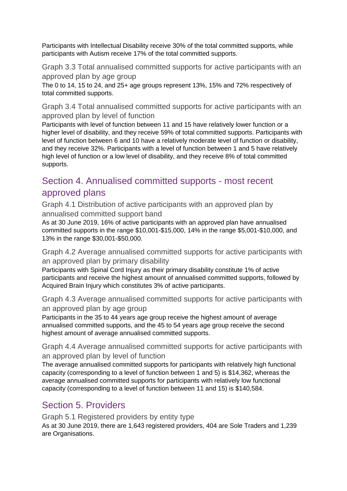Participants with Intellectual Disability receive 30% of the total committed supports, while participants with Autism receive 17% of the total committed supports.

Graph 3.3 Total annualised committed supports for active participants with an approved plan by age group

The 0 to 14, 15 to 24, and 25+ age groups represent 13%, 15% and 72% respectively of total committed supports.

Graph 3.4 Total annualised committed supports for active participants with an approved plan by level of function

Participants with level of function between 11 and 15 have relatively lower function or a higher level of disability, and they receive 59% of total committed supports. Participants with level of function between 6 and 10 have a relatively moderate level of function or disability, and they receive 32%. Participants with a level of function between 1 and 5 have relatively high level of function or a low level of disability, and they receive 8% of total committed supports.

# Section 4. Annualised committed supports - most recent approved plans

Graph 4.1 Distribution of active participants with an approved plan by annualised committed support band

As at 30 June 2019, 16% of active participants with an approved plan have annualised committed supports in the range \$10,001-\$15,000, 14% in the range \$5,001-\$10,000, and 13% in the range \$30,001-\$50,000.

Graph 4.2 Average annualised committed supports for active participants with an approved plan by primary disability

Participants with Spinal Cord Injury as their primary disability constitute 1% of active participants and receive the highest amount of annualised committed supports, followed by Acquired Brain Injury which constitutes 3% of active participants.

Graph 4.3 Average annualised committed supports for active participants with an approved plan by age group

Participants in the 35 to 44 years age group receive the highest amount of average annualised committed supports, and the 45 to 54 years age group receive the second highest amount of average annualised committed supports.

Graph 4.4 Average annualised committed supports for active participants with an approved plan by level of function

The average annualised committed supports for participants with relatively high functional capacity (corresponding to a level of function between 1 and 5) is \$14,362, whereas the average annualised committed supports for participants with relatively low functional capacity (corresponding to a level of function between 11 and 15) is \$140,584.

# Section 5. Providers

Graph 5.1 Registered providers by entity type

As at 30 June 2019, there are 1,643 registered providers, 404 are Sole Traders and 1,239 are Organisations.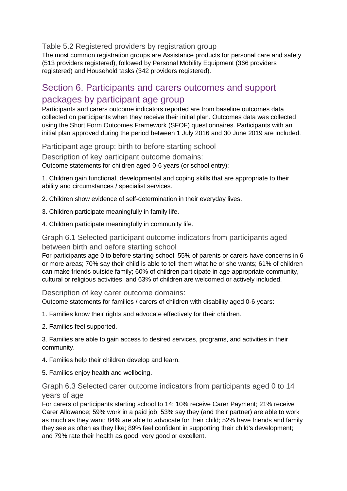Table 5.2 Registered providers by registration group

The most common registration groups are Assistance products for personal care and safety (513 providers registered), followed by Personal Mobility Equipment (366 providers registered) and Household tasks (342 providers registered).

## Section 6. Participants and carers outcomes and support packages by participant age group

Participants and carers outcome indicators reported are from baseline outcomes data collected on participants when they receive their initial plan. Outcomes data was collected using the Short Form Outcomes Framework (SFOF) questionnaires. Participants with an initial plan approved during the period between 1 July 2016 and 30 June 2019 are included.

Participant age group: birth to before starting school

Description of key participant outcome domains: Outcome statements for children aged 0-6 years (or school entry):

1. Children gain functional, developmental and coping skills that are appropriate to their ability and circumstances / specialist services.

2. Children show evidence of self-determination in their everyday lives.

- 3. Children participate meaningfully in family life.
- 4. Children participate meaningfully in community life.

### Graph 6.1 Selected participant outcome indicators from participants aged between birth and before starting school

For participants age 0 to before starting school: 55% of parents or carers have concerns in 6 or more areas; 70% say their child is able to tell them what he or she wants; 61% of children can make friends outside family; 60% of children participate in age appropriate community, cultural or religious activities; and 63% of children are welcomed or actively included.

Description of key carer outcome domains:

Outcome statements for families / carers of children with disability aged 0-6 years:

- 1. Families know their rights and advocate effectively for their children.
- 2. Families feel supported.

3. Families are able to gain access to desired services, programs, and activities in their community.

- 4. Families help their children develop and learn.
- 5. Families enjoy health and wellbeing.

### Graph 6.3 Selected carer outcome indicators from participants aged 0 to 14 years of age

For carers of participants starting school to 14: 10% receive Carer Payment; 21% receive Carer Allowance; 59% work in a paid job; 53% say they (and their partner) are able to work as much as they want; 84% are able to advocate for their child; 52% have friends and family they see as often as they like; 89% feel confident in supporting their child's development; and 79% rate their health as good, very good or excellent.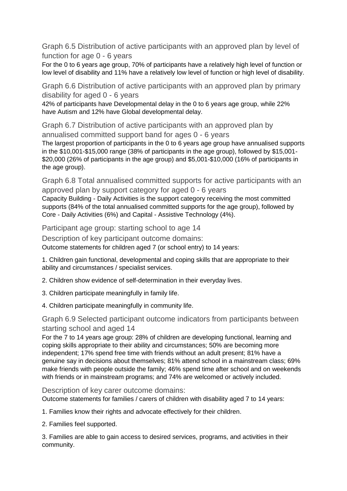Graph 6.5 Distribution of active participants with an approved plan by level of function for age 0 - 6 years

For the 0 to 6 years age group, 70% of participants have a relatively high level of function or low level of disability and 11% have a relatively low level of function or high level of disability.

Graph 6.6 Distribution of active participants with an approved plan by primary disability for aged 0 - 6 years

42% of participants have Developmental delay in the 0 to 6 years age group, while 22% have Autism and 12% have Global developmental delay.

Graph 6.7 Distribution of active participants with an approved plan by annualised committed support band for ages 0 - 6 years

The largest proportion of participants in the 0 to 6 years age group have annualised supports in the \$10,001-\$15,000 range (38% of participants in the age group), followed by \$15,001- \$20,000 (26% of participants in the age group) and \$5,001-\$10,000 (16% of participants in the age group).

Graph 6.8 Total annualised committed supports for active participants with an approved plan by support category for aged 0 - 6 years

Capacity Building - Daily Activities is the support category receiving the most committed supports (84% of the total annualised committed supports for the age group), followed by Core - Daily Activities (6%) and Capital - Assistive Technology (4%).

Participant age group: starting school to age 14

Description of key participant outcome domains: Outcome statements for children aged 7 (or school entry) to 14 years:

1. Children gain functional, developmental and coping skills that are appropriate to their ability and circumstances / specialist services.

2. Children show evidence of self-determination in their everyday lives.

- 3. Children participate meaningfully in family life.
- 4. Children participate meaningfully in community life.

### Graph 6.9 Selected participant outcome indicators from participants between starting school and aged 14

For the 7 to 14 years age group: 28% of children are developing functional, learning and coping skills appropriate to their ability and circumstances; 50% are becoming more independent; 17% spend free time with friends without an adult present; 81% have a genuine say in decisions about themselves; 81% attend school in a mainstream class; 69% make friends with people outside the family; 46% spend time after school and on weekends with friends or in mainstream programs; and 74% are welcomed or actively included.

Description of key carer outcome domains:

Outcome statements for families / carers of children with disability aged 7 to 14 years:

1. Families know their rights and advocate effectively for their children.

2. Families feel supported.

3. Families are able to gain access to desired services, programs, and activities in their community.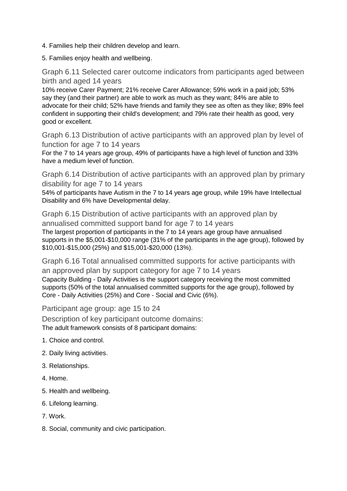- 4. Families help their children develop and learn.
- 5. Families enjoy health and wellbeing.

Graph 6.11 Selected carer outcome indicators from participants aged between birth and aged 14 years

10% receive Carer Payment; 21% receive Carer Allowance; 59% work in a paid job; 53% say they (and their partner) are able to work as much as they want; 84% are able to advocate for their child; 52% have friends and family they see as often as they like; 89% feel confident in supporting their child's development; and 79% rate their health as good, very good or excellent.

Graph 6.13 Distribution of active participants with an approved plan by level of function for age 7 to 14 years

For the 7 to 14 years age group, 49% of participants have a high level of function and 33% have a medium level of function.

Graph 6.14 Distribution of active participants with an approved plan by primary disability for age 7 to 14 years

54% of participants have Autism in the 7 to 14 years age group, while 19% have Intellectual Disability and 6% have Developmental delay.

Graph 6.15 Distribution of active participants with an approved plan by annualised committed support band for age 7 to 14 years The largest proportion of participants in the 7 to 14 years age group have annualised

supports in the \$5,001-\$10,000 range (31% of the participants in the age group), followed by \$10,001-\$15,000 (25%) and \$15,001-\$20,000 (13%).

Graph 6.16 Total annualised committed supports for active participants with an approved plan by support category for age 7 to 14 years Capacity Building - Daily Activities is the support category receiving the most committed supports (50% of the total annualised committed supports for the age group), followed by Core - Daily Activities (25%) and Core - Social and Civic (6%).

Participant age group: age 15 to 24

Description of key participant outcome domains: The adult framework consists of 8 participant domains:

- 1. Choice and control.
- 2. Daily living activities.
- 3. Relationships.
- 4. Home.
- 5. Health and wellbeing.
- 6. Lifelong learning.
- 7. Work.
- 8. Social, community and civic participation.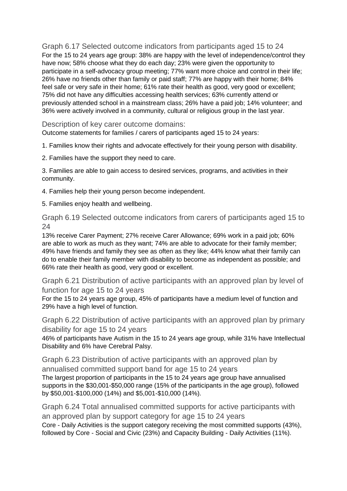Graph 6.17 Selected outcome indicators from participants aged 15 to 24 For the 15 to 24 years age group: 38% are happy with the level of independence/control they have now; 58% choose what they do each day; 23% were given the opportunity to participate in a self-advocacy group meeting; 77% want more choice and control in their life; 26% have no friends other than family or paid staff; 77% are happy with their home; 84% feel safe or very safe in their home; 61% rate their health as good, very good or excellent; 75% did not have any difficulties accessing health services; 63% currently attend or previously attended school in a mainstream class; 26% have a paid job; 14% volunteer; and 36% were actively involved in a community, cultural or religious group in the last year.

Description of key carer outcome domains:

Outcome statements for families / carers of participants aged 15 to 24 years:

1. Families know their rights and advocate effectively for their young person with disability.

2. Families have the support they need to care.

3. Families are able to gain access to desired services, programs, and activities in their community.

4. Families help their young person become independent.

5. Families enjoy health and wellbeing.

Graph 6.19 Selected outcome indicators from carers of participants aged 15 to 24

13% receive Carer Payment; 27% receive Carer Allowance; 69% work in a paid job; 60% are able to work as much as they want; 74% are able to advocate for their family member; 49% have friends and family they see as often as they like; 44% know what their family can do to enable their family member with disability to become as independent as possible; and 66% rate their health as good, very good or excellent.

Graph 6.21 Distribution of active participants with an approved plan by level of function for age 15 to 24 years

For the 15 to 24 years age group, 45% of participants have a medium level of function and 29% have a high level of function.

Graph 6.22 Distribution of active participants with an approved plan by primary disability for age 15 to 24 years

46% of participants have Autism in the 15 to 24 years age group, while 31% have Intellectual Disability and 6% have Cerebral Palsy.

Graph 6.23 Distribution of active participants with an approved plan by annualised committed support band for age 15 to 24 years The largest proportion of participants in the 15 to 24 years age group have annualised supports in the \$30,001-\$50,000 range (15% of the participants in the age group), followed by \$50,001-\$100,000 (14%) and \$5,001-\$10,000 (14%).

Graph 6.24 Total annualised committed supports for active participants with an approved plan by support category for age 15 to 24 years Core - Daily Activities is the support category receiving the most committed supports (43%), followed by Core - Social and Civic (23%) and Capacity Building - Daily Activities (11%).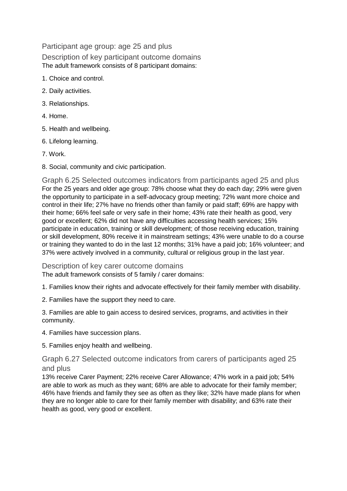Participant age group: age 25 and plus Description of key participant outcome domains The adult framework consists of 8 participant domains:

- 1. Choice and control.
- 2. Daily activities.
- 3. Relationships.
- 4. Home.
- 5. Health and wellbeing.
- 6. Lifelong learning.
- 7. Work.
- 8. Social, community and civic participation.

Graph 6.25 Selected outcomes indicators from participants aged 25 and plus For the 25 years and older age group: 78% choose what they do each day; 29% were given the opportunity to participate in a self-advocacy group meeting; 72% want more choice and control in their life; 27% have no friends other than family or paid staff; 69% are happy with their home; 66% feel safe or very safe in their home; 43% rate their health as good, very good or excellent; 62% did not have any difficulties accessing health services; 15% participate in education, training or skill development; of those receiving education, training or skill development, 80% receive it in mainstream settings; 43% were unable to do a course or training they wanted to do in the last 12 months; 31% have a paid job; 16% volunteer; and 37% were actively involved in a community, cultural or religious group in the last year.

Description of key carer outcome domains The adult framework consists of 5 family / carer domains:

1. Families know their rights and advocate effectively for their family member with disability.

2. Families have the support they need to care.

3. Families are able to gain access to desired services, programs, and activities in their community.

4. Families have succession plans.

5. Families enjoy health and wellbeing.

Graph 6.27 Selected outcome indicators from carers of participants aged 25 and plus

13% receive Carer Payment; 22% receive Carer Allowance; 47% work in a paid job; 54% are able to work as much as they want; 68% are able to advocate for their family member; 46% have friends and family they see as often as they like; 32% have made plans for when they are no longer able to care for their family member with disability; and 63% rate their health as good, very good or excellent.